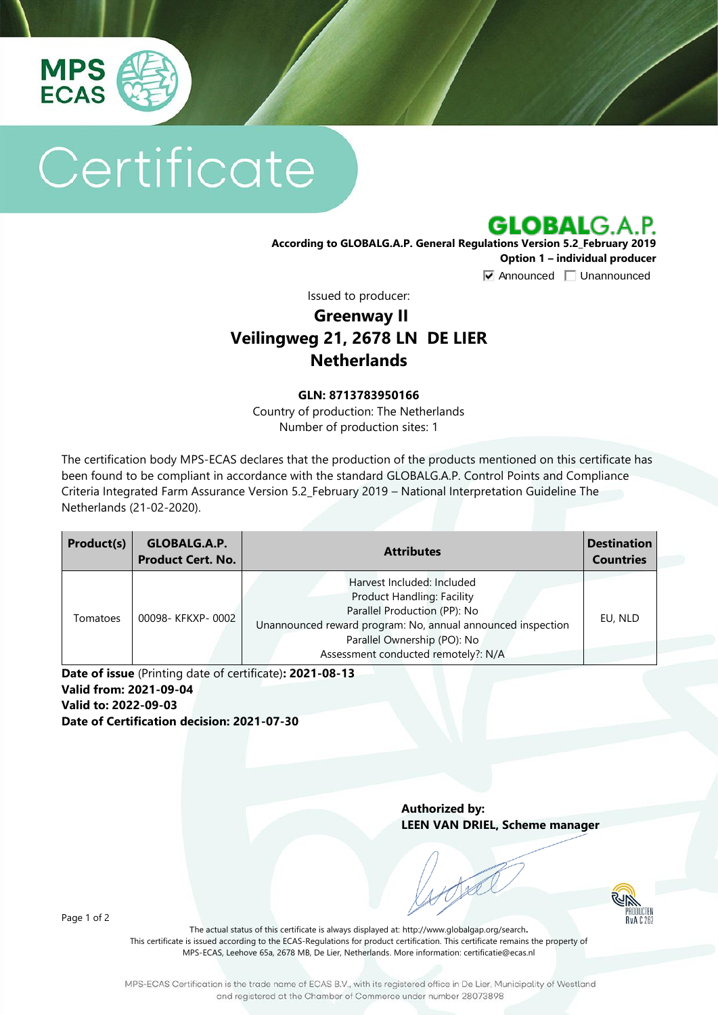

# Certificate

**GLOBALG.A.P.** 

**According to GLOBALG.A.P. General Regulations Version 5.2\_February 2019 Option 1 – individual producer**  $\nabla$  Announced  $\nabla$  Unannounced

Issued to producer:

## **Greenway II Veilingweg 21, 2678 LN DE LIER Netherlands**

#### **GLN: 8713783950166**

Country of production: The Netherlands Number of production sites: 1

The certification body MPS-ECAS declares that the production of the products mentioned on this certificate has been found to be compliant in accordance with the standard GLOBALG.A.P. Control Points and Compliance Criteria Integrated Farm Assurance Version 5.2\_February 2019 – National Interpretation Guideline The Netherlands (21-02-2020).

| Product(s) | GLOBALG.A.P.<br><b>Product Cert. No.</b> | <b>Attributes</b>                                                                                                                                                                                                             | <b>Destination</b><br><b>Countries</b> |
|------------|------------------------------------------|-------------------------------------------------------------------------------------------------------------------------------------------------------------------------------------------------------------------------------|----------------------------------------|
| Tomatoes   | 00098- KFKXP-0002                        | Harvest Included: Included<br>Product Handling: Facility<br>Parallel Production (PP): No<br>Unannounced reward program: No, annual announced inspection<br>Parallel Ownership (PO): No<br>Assessment conducted remotely?: N/A | EU, NLD                                |

**Date of issue** (Printing date of certificate)**: 2021-08-13 Valid from: 2021-09-04 Valid to: 2022-09-03 Date of Certification decision: 2021-07-30**

> **Authorized by: LEEN VAN DRIEL, Scheme manager**

> > PRODUCTE<br>RvA C 26

Page 1 of 2

The actual status of this certificate is always displayed at: <http://www.globalgap.org/search>**.**  This certificate is issued according to the ECAS-Regulations for product certification. This certificate remains the property of MPS-ECAS, Leehove 65a, 2678 MB, De Lier, Netherlands. More information[: certificatie@ecas.nl](mailto:certificatie@ecas.nl)